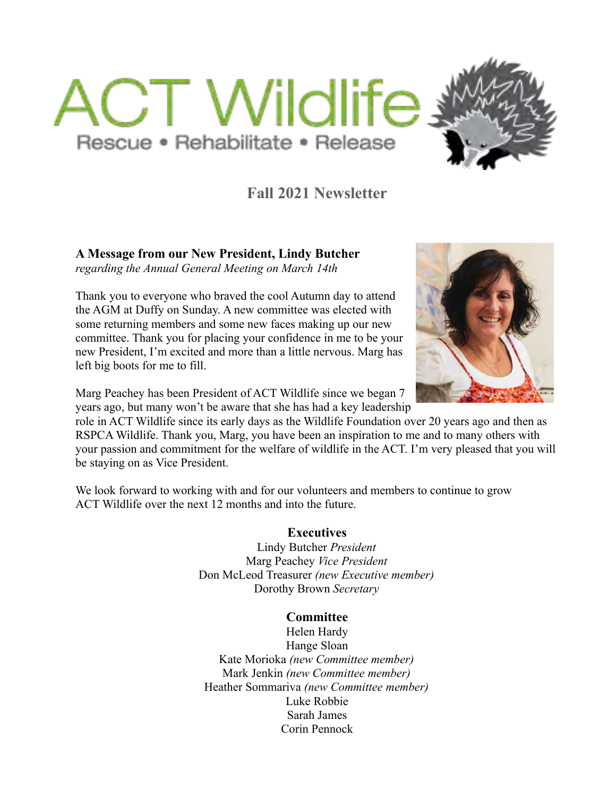



# **Fall 2021 Newsletter**

**A Message from our New President, Lindy Butcher**

*regarding the Annual General Meeting on March 14th*

Thank you to everyone who braved the cool Autumn day to attend the AGM at Duffy on Sunday. A new committee was elected with some returning members and some new faces making up our new committee. Thank you for placing your confidence in me to be your new President, I'm excited and more than a little nervous. Marg has left big boots for me to fill.

Marg Peachey has been President of ACT Wildlife since we began 7 years ago, but many won't be aware that she has had a key leadership

role in ACT Wildlife since its early days as the Wildlife Foundation over 20 years ago and then as RSPCA Wildlife. Thank you, Marg, you have been an inspiration to me and to many others with your passion and commitment for the welfare of wildlife in the ACT. I'm very pleased that you will be staying on as Vice President.

We look forward to working with and for our volunteers and members to continue to grow ACT Wildlife over the next 12 months and into the future.

### **Executives**

Lindy Butcher *President* Marg Peachey *Vice President* Don McLeod Treasurer *(new Executive member)* Dorothy Brown *Secretary*

### **Committee**

Helen Hardy Hange Sloan Kate Morioka *(new Committee member)* Mark Jenkin *(new Committee member)* Heather Sommariva *(new Committee member)* Luke Robbie Sarah James Corin Pennock

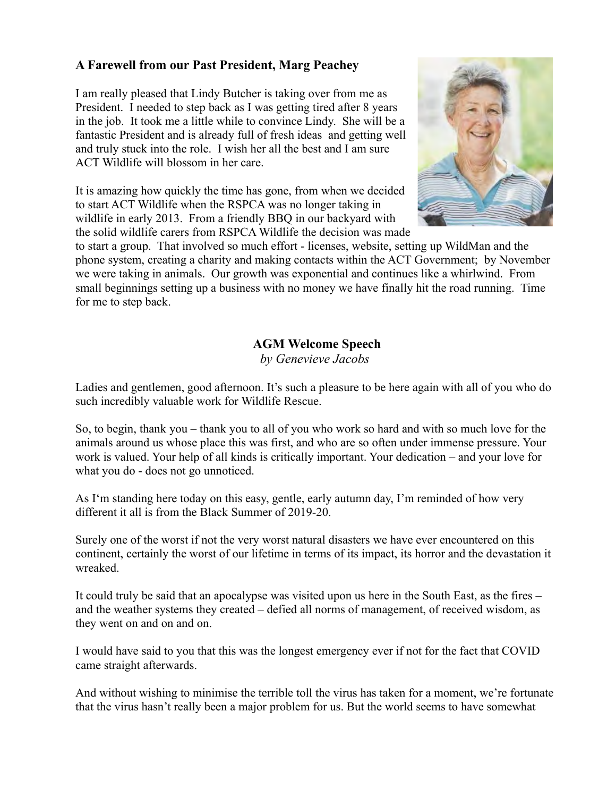## **A Farewell from our Past President, Marg Peachey**

I am really pleased that Lindy Butcher is taking over from me as President. I needed to step back as I was getting tired after 8 years in the job. It took me a little while to convince Lindy. She will be a fantastic President and is already full of fresh ideas and getting well and truly stuck into the role. I wish her all the best and I am sure ACT Wildlife will blossom in her care.

It is amazing how quickly the time has gone, from when we decided to start ACT Wildlife when the RSPCA was no longer taking in wildlife in early 2013. From a friendly BBQ in our backyard with the solid wildlife carers from RSPCA Wildlife the decision was made



to start a group. That involved so much effort - licenses, website, setting up WildMan and the phone system, creating a charity and making contacts within the ACT Government; by November we were taking in animals. Our growth was exponential and continues like a whirlwind. From small beginnings setting up a business with no money we have finally hit the road running. Time for me to step back.

## **AGM Welcome Speech**

*by Genevieve Jacobs* 

Ladies and gentlemen, good afternoon. It's such a pleasure to be here again with all of you who do such incredibly valuable work for Wildlife Rescue.

So, to begin, thank you – thank you to all of you who work so hard and with so much love for the animals around us whose place this was first, and who are so often under immense pressure. Your work is valued. Your help of all kinds is critically important. Your dedication – and your love for what you do - does not go unnoticed.

As I'm standing here today on this easy, gentle, early autumn day, I'm reminded of how very different it all is from the Black Summer of 2019-20.

Surely one of the worst if not the very worst natural disasters we have ever encountered on this continent, certainly the worst of our lifetime in terms of its impact, its horror and the devastation it wreaked.

It could truly be said that an apocalypse was visited upon us here in the South East, as the fires – and the weather systems they created – defied all norms of management, of received wisdom, as they went on and on and on.

I would have said to you that this was the longest emergency ever if not for the fact that COVID came straight afterwards.

And without wishing to minimise the terrible toll the virus has taken for a moment, we're fortunate that the virus hasn't really been a major problem for us. But the world seems to have somewhat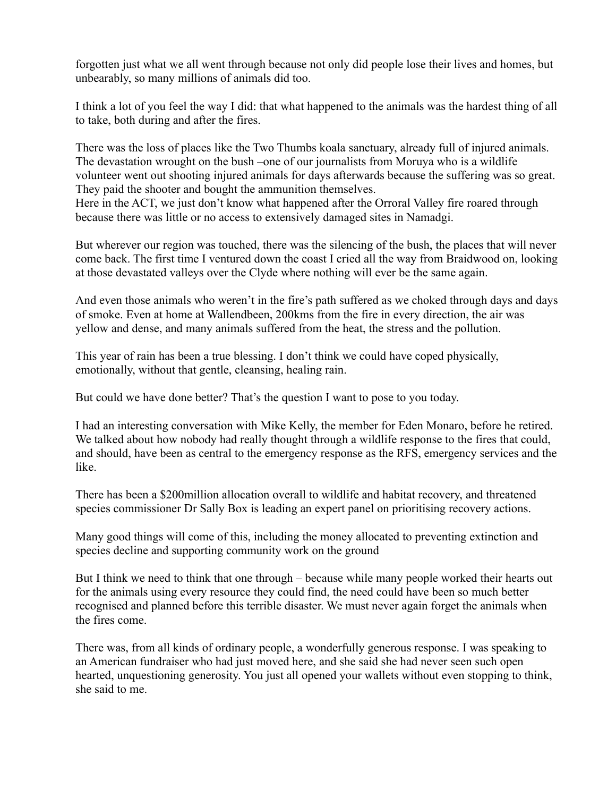forgotten just what we all went through because not only did people lose their lives and homes, but unbearably, so many millions of animals did too.

I think a lot of you feel the way I did: that what happened to the animals was the hardest thing of all to take, both during and after the fires.

There was the loss of places like the Two Thumbs koala sanctuary, already full of injured animals. The devastation wrought on the bush –one of our journalists from Moruya who is a wildlife volunteer went out shooting injured animals for days afterwards because the suffering was so great. They paid the shooter and bought the ammunition themselves.

Here in the ACT, we just don't know what happened after the Orroral Valley fire roared through because there was little or no access to extensively damaged sites in Namadgi.

But wherever our region was touched, there was the silencing of the bush, the places that will never come back. The first time I ventured down the coast I cried all the way from Braidwood on, looking at those devastated valleys over the Clyde where nothing will ever be the same again.

And even those animals who weren't in the fire's path suffered as we choked through days and days of smoke. Even at home at Wallendbeen, 200kms from the fire in every direction, the air was yellow and dense, and many animals suffered from the heat, the stress and the pollution.

This year of rain has been a true blessing. I don't think we could have coped physically, emotionally, without that gentle, cleansing, healing rain.

But could we have done better? That's the question I want to pose to you today.

I had an interesting conversation with Mike Kelly, the member for Eden Monaro, before he retired. We talked about how nobody had really thought through a wildlife response to the fires that could, and should, have been as central to the emergency response as the RFS, emergency services and the like.

There has been a \$200million allocation overall to wildlife and habitat recovery, and threatened species commissioner Dr Sally Box is leading an expert panel on prioritising recovery actions.

Many good things will come of this, including the money allocated to preventing extinction and species decline and supporting community work on the ground

But I think we need to think that one through – because while many people worked their hearts out for the animals using every resource they could find, the need could have been so much better recognised and planned before this terrible disaster. We must never again forget the animals when the fires come.

There was, from all kinds of ordinary people, a wonderfully generous response. I was speaking to an American fundraiser who had just moved here, and she said she had never seen such open hearted, unquestioning generosity. You just all opened your wallets without even stopping to think, she said to me.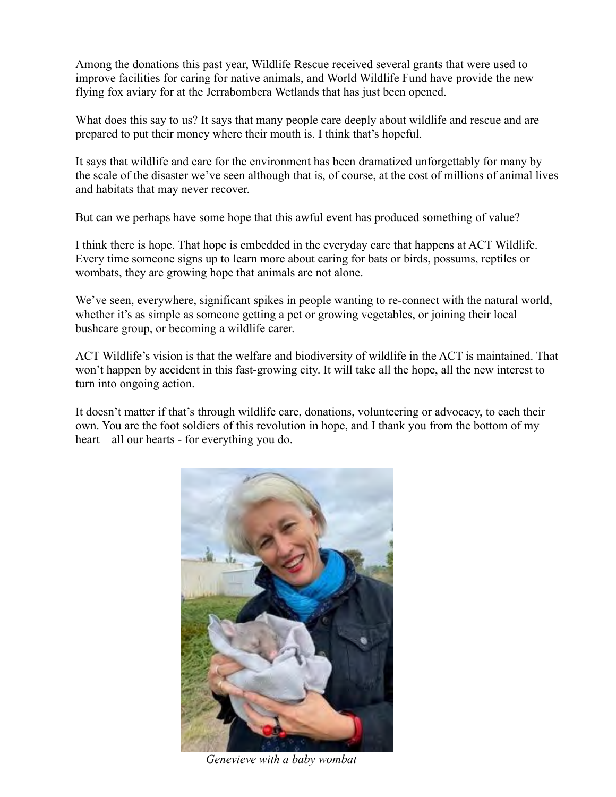Among the donations this past year, Wildlife Rescue received several grants that were used to improve facilities for caring for native animals, and World Wildlife Fund have provide the new flying fox aviary for at the Jerrabombera Wetlands that has just been opened.

What does this say to us? It says that many people care deeply about wildlife and rescue and are prepared to put their money where their mouth is. I think that's hopeful.

It says that wildlife and care for the environment has been dramatized unforgettably for many by the scale of the disaster we've seen although that is, of course, at the cost of millions of animal lives and habitats that may never recover.

But can we perhaps have some hope that this awful event has produced something of value?

I think there is hope. That hope is embedded in the everyday care that happens at ACT Wildlife. Every time someone signs up to learn more about caring for bats or birds, possums, reptiles or wombats, they are growing hope that animals are not alone.

We've seen, everywhere, significant spikes in people wanting to re-connect with the natural world, whether it's as simple as someone getting a pet or growing vegetables, or joining their local bushcare group, or becoming a wildlife carer.

ACT Wildlife's vision is that the welfare and biodiversity of wildlife in the ACT is maintained. That won't happen by accident in this fast-growing city. It will take all the hope, all the new interest to turn into ongoing action.

It doesn't matter if that's through wildlife care, donations, volunteering or advocacy, to each their own. You are the foot soldiers of this revolution in hope, and I thank you from the bottom of my heart – all our hearts - for everything you do.



*Genevieve with a baby wombat*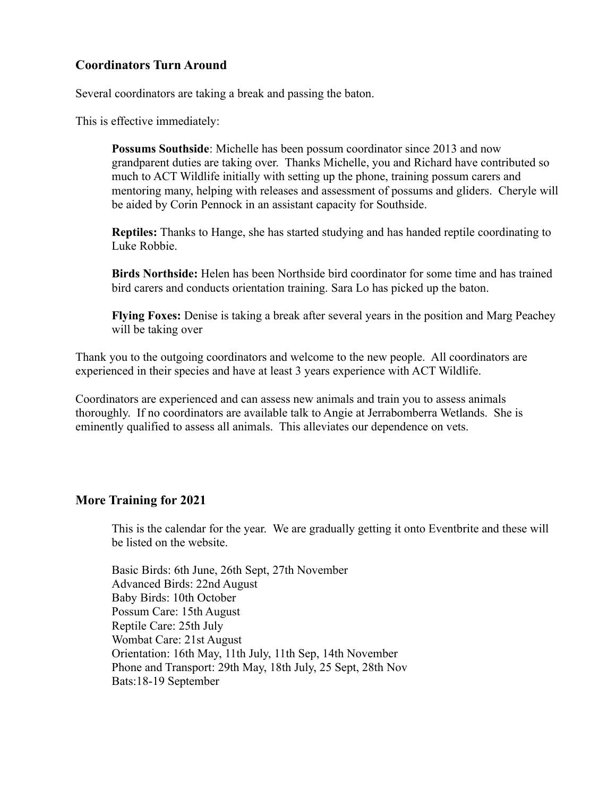### **Coordinators Turn Around**

Several coordinators are taking a break and passing the baton.

This is effective immediately:

**Possums Southside**: Michelle has been possum coordinator since 2013 and now grandparent duties are taking over. Thanks Michelle, you and Richard have contributed so much to ACT Wildlife initially with setting up the phone, training possum carers and mentoring many, helping with releases and assessment of possums and gliders. Cheryle will be aided by Corin Pennock in an assistant capacity for Southside.

**Reptiles:** Thanks to Hange, she has started studying and has handed reptile coordinating to Luke Robbie.

**Birds Northside:** Helen has been Northside bird coordinator for some time and has trained bird carers and conducts orientation training. Sara Lo has picked up the baton.

**Flying Foxes:** Denise is taking a break after several years in the position and Marg Peachey will be taking over

Thank you to the outgoing coordinators and welcome to the new people. All coordinators are experienced in their species and have at least 3 years experience with ACT Wildlife.

Coordinators are experienced and can assess new animals and train you to assess animals thoroughly. If no coordinators are available talk to Angie at Jerrabomberra Wetlands. She is eminently qualified to assess all animals. This alleviates our dependence on vets.

#### **More Training for 2021**

This is the calendar for the year. We are gradually getting it onto Eventbrite and these will be listed on the website.

Basic Birds: 6th June, 26th Sept, 27th November Advanced Birds: 22nd August Baby Birds: 10th October Possum Care: 15th August Reptile Care: 25th July Wombat Care: 21st August Orientation: 16th May, 11th July, 11th Sep, 14th November Phone and Transport: 29th May, 18th July, 25 Sept, 28th Nov Bats:18-19 September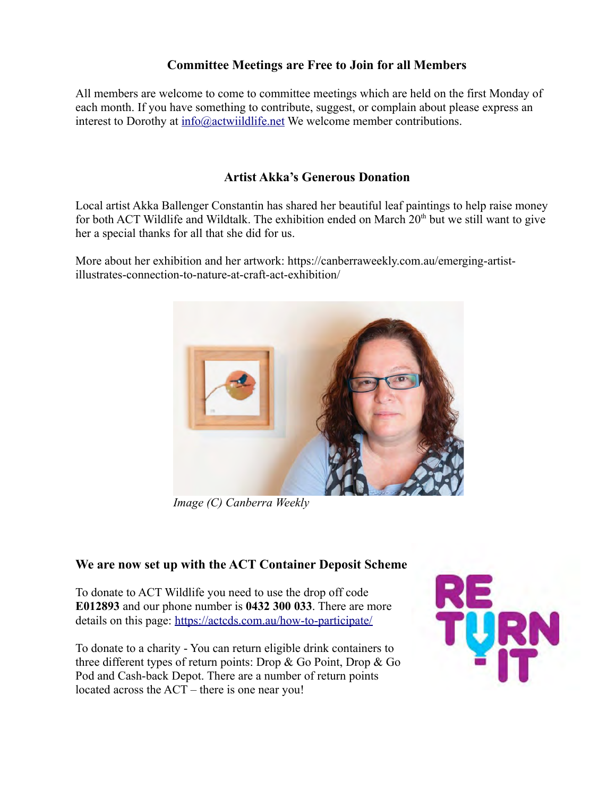### **Committee Meetings are Free to Join for all Members**

All members are welcome to come to committee meetings which are held on the first Monday of each month. If you have something to contribute, suggest, or complain about please express an interest to Dorothy at  $info(\partial_{i}$  actwiildlife.net We welcome member contributions.

### **Artist Akka's Generous Donation**

Local artist Akka Ballenger Constantin has shared her beautiful leaf paintings to help raise money for both ACT Wildlife and Wildtalk. The exhibition ended on March  $20<sup>th</sup>$  but we still want to give her a special thanks for all that she did for us.

More about her exhibition and her artwork: https://canberraweekly.com.au/emerging-artistillustrates-connection-to-nature-at-craft-act-exhibition/



*Image (C) Canberra Weekly*

#### **We are now set up with the ACT Container Deposit Scheme**

To donate to ACT Wildlife you need to use the drop off code **E012893** and our phone number is **0432 300 033**. There are more details on this page: <https://actcds.com.au/how-to-participate/>

To donate to a charity - You can return eligible drink containers to three different types of return points: Drop & Go Point, Drop & Go Pod and Cash-back Depot. There are a number of return points located across the ACT – there is one near you!

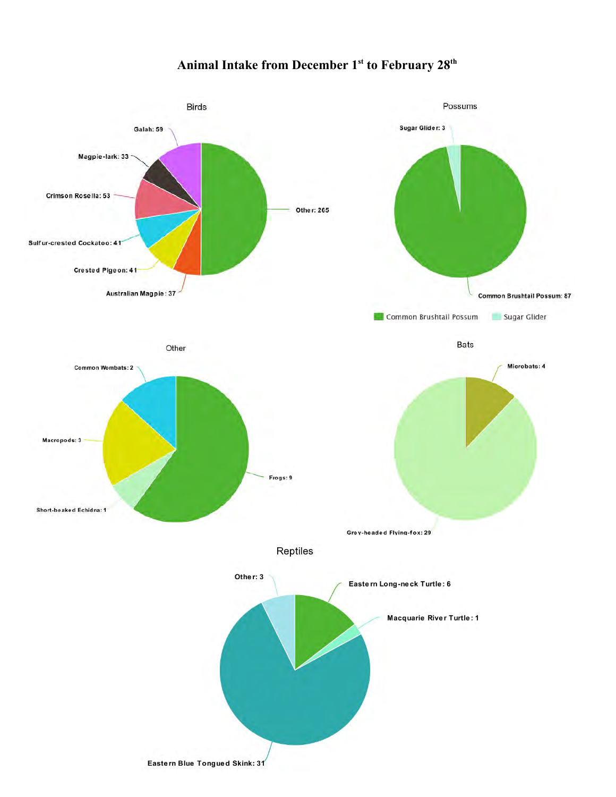# **Animal Intake from December 1st to February 28th**

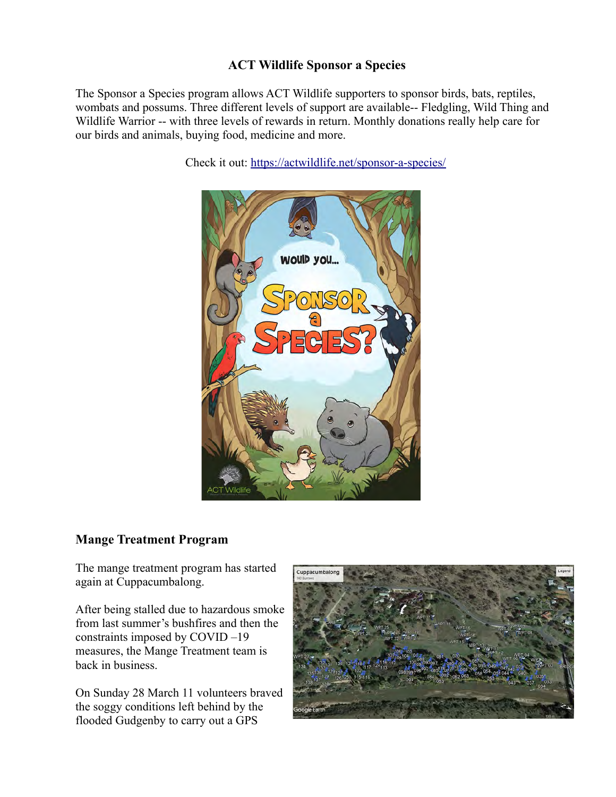## **ACT Wildlife Sponsor a Species**

The Sponsor a Species program allows ACT Wildlife supporters to sponsor birds, bats, reptiles, wombats and possums. Three different levels of support are available-- Fledgling, Wild Thing and Wildlife Warrior -- with three levels of rewards in return. Monthly donations really help care for our birds and animals, buying food, medicine and more.

Check it out:<https://actwildlife.net/sponsor-a-species/>



### **Mange Treatment Program**

The mange treatment program has started again at Cuppacumbalong.

After being stalled due to hazardous smoke from last summer's bushfires and then the constraints imposed by COVID –19 measures, the Mange Treatment team is back in business.

On Sunday 28 March 11 volunteers braved the soggy conditions left behind by the flooded Gudgenby to carry out a GPS

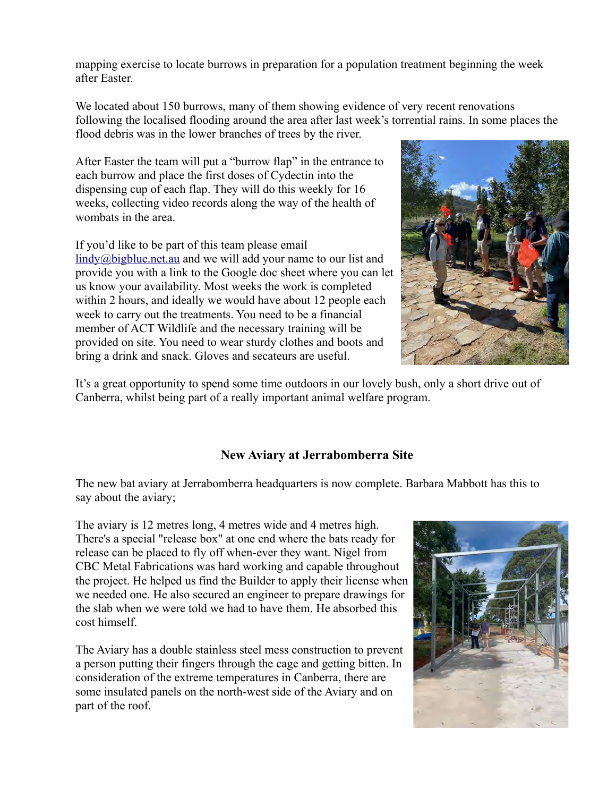mapping exercise to locate burrows in preparation for a population treatment beginning the week after Easter.

We located about 150 burrows, many of them showing evidence of very recent renovations following the localised flooding around the area after last week's torrential rains. In some places the flood debris was in the lower branches of trees by the river.

After Easter the team will put a "burrow flap" in the entrance to each burrow and place the first doses of Cydectin into the dispensing cup of each flap. They will do this weekly for 16 weeks, collecting video records along the way of the health of wombats in the area.

If you'd like to be part of this team please email

[lindy@bigblue.net.au](mailto:lindy@bigblue.net.au) and we will add your name to our list and provide you with a link to the Google doc sheet where you can let us know your availability. Most weeks the work is completed within 2 hours, and ideally we would have about 12 people each week to carry out the treatments. You need to be a financial member of ACT Wildlife and the necessary training will be provided on site. You need to wear sturdy clothes and boots and bring a drink and snack. Gloves and secateurs are useful.



It's a great opportunity to spend some time outdoors in our lovely bush, only a short drive out of Canberra, whilst being part of a really important animal welfare program.

# **New Aviary at Jerrabomberra Site**

The new bat aviary at Jerrabomberra headquarters is now complete. Barbara Mabbott has this to say about the aviary;

The aviary is 12 metres long, 4 metres wide and 4 metres high. There's a special "release box" at one end where the bats ready for release can be placed to fly off when-ever they want. Nigel from CBC Metal Fabrications was hard working and capable throughout the project. He helped us find the Builder to apply their license when we needed one. He also secured an engineer to prepare drawings for the slab when we were told we had to have them. He absorbed this cost himself.

The Aviary has a double stainless steel mess construction to prevent a person putting their fingers through the cage and getting bitten. In consideration of the extreme temperatures in Canberra, there are some insulated panels on the north-west side of the Aviary and on part of the roof.

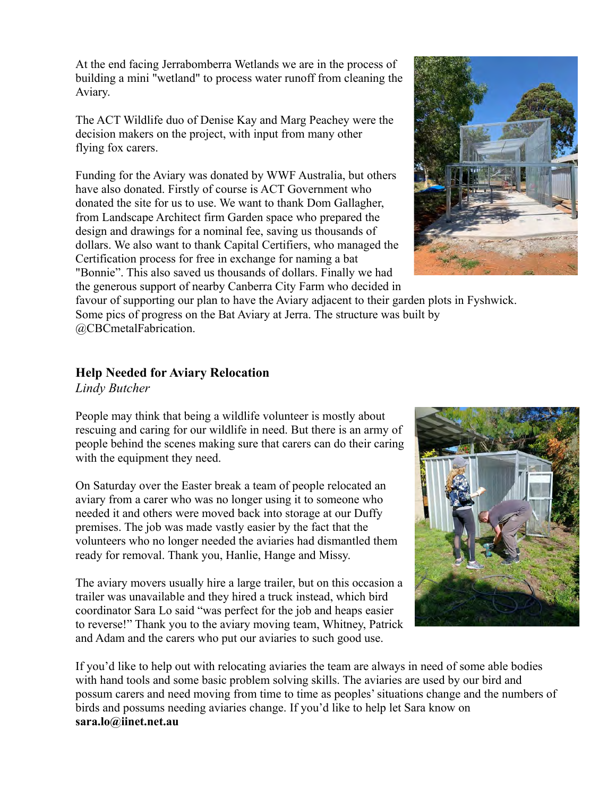At the end facing Jerrabomberra Wetlands we are in the process of building a mini "wetland" to process water runoff from cleaning the Aviary.

The ACT Wildlife duo of Denise Kay and Marg Peachey were the decision makers on the project, with input from many other flying fox carers.

Funding for the Aviary was donated by WWF Australia, but others have also donated. Firstly of course is ACT Government who donated the site for us to use. We want to thank Dom Gallagher, from Landscape Architect firm Garden space who prepared the design and drawings for a nominal fee, saving us thousands of dollars. We also want to thank Capital Certifiers, who managed the Certification process for free in exchange for naming a bat "Bonnie". This also saved us thousands of dollars. Finally we had the generous support of nearby Canberra City Farm who decided in



favour of supporting our plan to have the Aviary adjacent to their garden plots in Fyshwick. Some pics of progress on the Bat Aviary at Jerra. The structure was built by @CBCmetalFabrication.

### **Help Needed for Aviary Relocation**

*Lindy Butcher*

People may think that being a wildlife volunteer is mostly about rescuing and caring for our wildlife in need. But there is an army of people behind the scenes making sure that carers can do their caring with the equipment they need.

On Saturday over the Easter break a team of people relocated an aviary from a carer who was no longer using it to someone who needed it and others were moved back into storage at our Duffy premises. The job was made vastly easier by the fact that the volunteers who no longer needed the aviaries had dismantled them ready for removal. Thank you, Hanlie, Hange and Missy.

The aviary movers usually hire a large trailer, but on this occasion a trailer was unavailable and they hired a truck instead, which bird coordinator Sara Lo said "was perfect for the job and heaps easier to reverse!" Thank you to the aviary moving team, Whitney, Patrick and Adam and the carers who put our aviaries to such good use.



If you'd like to help out with relocating aviaries the team are always in need of some able bodies with hand tools and some basic problem solving skills. The aviaries are used by our bird and possum carers and need moving from time to time as peoples' situations change and the numbers of birds and possums needing aviaries change. If you'd like to help let Sara know on **sara.lo@iinet.net.au**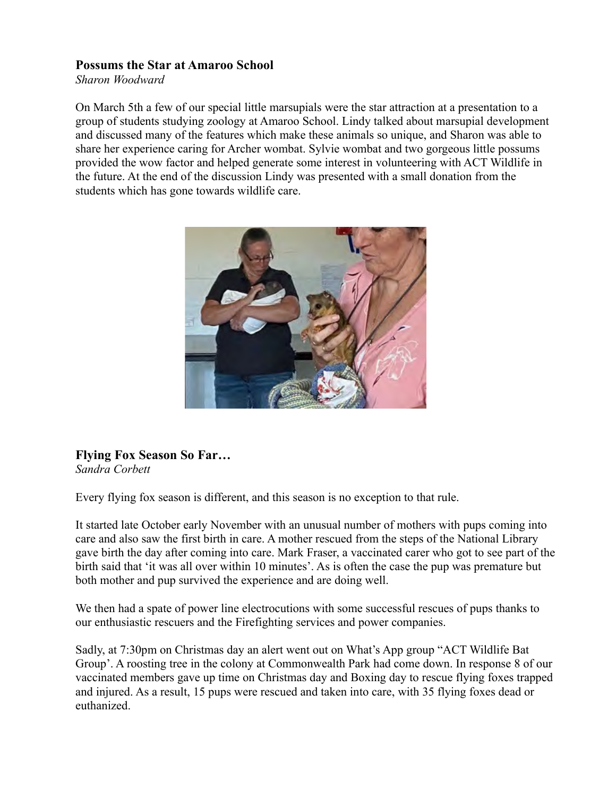#### **Possums the Star at Amaroo School**

*Sharon Woodward*

On March 5th a few of our special little marsupials were the star attraction at a presentation to a group of students studying zoology at Amaroo School. Lindy talked about marsupial development and discussed many of the features which make these animals so unique, and Sharon was able to share her experience caring for Archer wombat. Sylvie wombat and two gorgeous little possums provided the wow factor and helped generate some interest in volunteering with ACT Wildlife in the future. At the end of the discussion Lindy was presented with a small donation from the students which has gone towards wildlife care.



**Flying Fox Season So Far…**

*Sandra Corbett*

Every flying fox season is different, and this season is no exception to that rule.

It started late October early November with an unusual number of mothers with pups coming into care and also saw the first birth in care. A mother rescued from the steps of the National Library gave birth the day after coming into care. Mark Fraser, a vaccinated carer who got to see part of the birth said that 'it was all over within 10 minutes'. As is often the case the pup was premature but both mother and pup survived the experience and are doing well.

We then had a spate of power line electrocutions with some successful rescues of pups thanks to our enthusiastic rescuers and the Firefighting services and power companies.

Sadly, at 7:30pm on Christmas day an alert went out on What's App group "ACT Wildlife Bat Group'. A roosting tree in the colony at Commonwealth Park had come down. In response 8 of our vaccinated members gave up time on Christmas day and Boxing day to rescue flying foxes trapped and injured. As a result, 15 pups were rescued and taken into care, with 35 flying foxes dead or euthanized.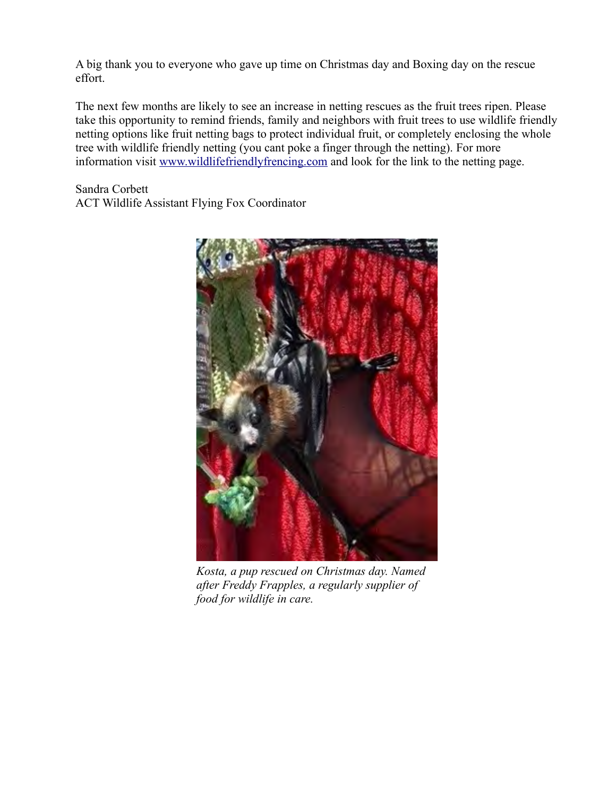A big thank you to everyone who gave up time on Christmas day and Boxing day on the rescue effort.

The next few months are likely to see an increase in netting rescues as the fruit trees ripen. Please take this opportunity to remind friends, family and neighbors with fruit trees to use wildlife friendly netting options like fruit netting bags to protect individual fruit, or completely enclosing the whole tree with wildlife friendly netting (you cant poke a finger through the netting). For more information visit [www.wildlifefriendlyfrencing.com](http://www.wildlifefriendlyfrencing.com/) and look for the link to the netting page.

Sandra Corbett ACT Wildlife Assistant Flying Fox Coordinator



*Kosta, a pup rescued on Christmas day. Named after Freddy Frapples, a regularly supplier of food for wildlife in care.*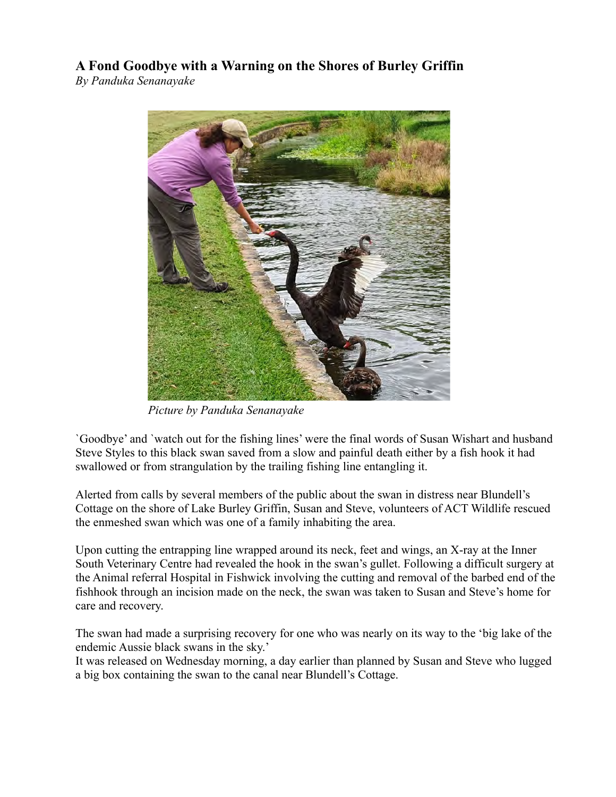**A Fond Goodbye with a Warning on the Shores of Burley Griffin**

*By Panduka Senanayake* 



*Picture by Panduka Senanayake*

`Goodbye' and `watch out for the fishing lines' were the final words of Susan Wishart and husband Steve Styles to this black swan saved from a slow and painful death either by a fish hook it had swallowed or from strangulation by the trailing fishing line entangling it.

Alerted from calls by several members of the public about the swan in distress near Blundell's Cottage on the shore of Lake Burley Griffin, Susan and Steve, volunteers of ACT Wildlife rescued the enmeshed swan which was one of a family inhabiting the area.

Upon cutting the entrapping line wrapped around its neck, feet and wings, an X-ray at the Inner South Veterinary Centre had revealed the hook in the swan's gullet. Following a difficult surgery at the Animal referral Hospital in Fishwick involving the cutting and removal of the barbed end of the fishhook through an incision made on the neck, the swan was taken to Susan and Steve's home for care and recovery.

The swan had made a surprising recovery for one who was nearly on its way to the 'big lake of the endemic Aussie black swans in the sky.'

It was released on Wednesday morning, a day earlier than planned by Susan and Steve who lugged a big box containing the swan to the canal near Blundell's Cottage.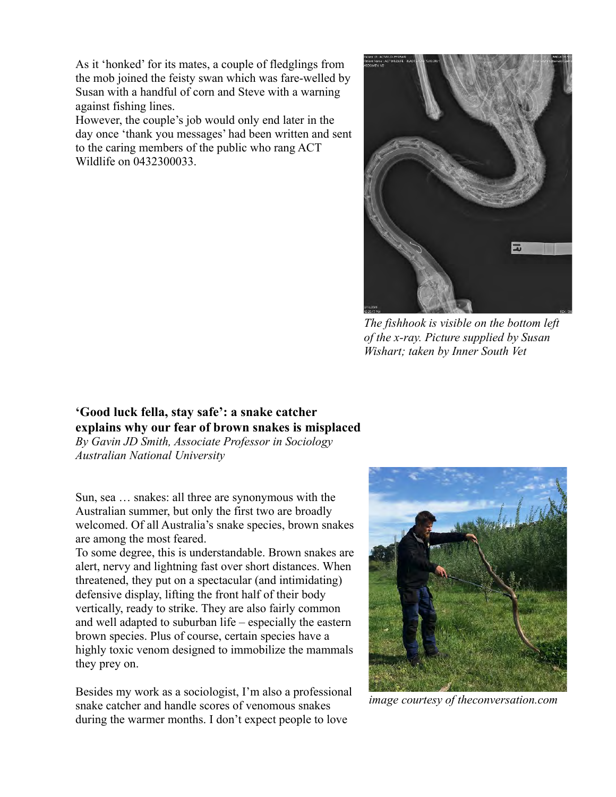As it 'honked' for its mates, a couple of fledglings from the mob joined the feisty swan which was fare-welled by Susan with a handful of corn and Steve with a warning against fishing lines.

However, the couple's job would only end later in the day once 'thank you messages' had been written and sent to the caring members of the public who rang ACT Wildlife on 0432300033.



*The fishhook is visible on the bottom left of the x-ray. Picture supplied by Susan Wishart; taken by Inner South Vet*

# **'Good luck fella, stay safe': a snake catcher explains why our fear of brown snakes is misplaced**

*By Gavin JD Smith, Associate Professor in Sociology Australian National University*

Sun, sea … snakes: all three are synonymous with the Australian summer, but only the first two are broadly welcomed. Of all Australia's snake species, brown snakes are among the most feared.

To some degree, this is understandable. Brown snakes are alert, nervy and lightning fast over short distances. When threatened, they put on a spectacular (and intimidating) defensive display, lifting the front half of their body vertically, ready to strike. They are also fairly common and well adapted to suburban life – especially the eastern brown species. Plus of course, certain species have a highly toxic venom designed to immobilize the mammals they prey on.

Besides my work as a sociologist, I'm also a professional snake catcher and handle scores of venomous snakes during the warmer months. I don't expect people to love



*image courtesy of theconversation.com*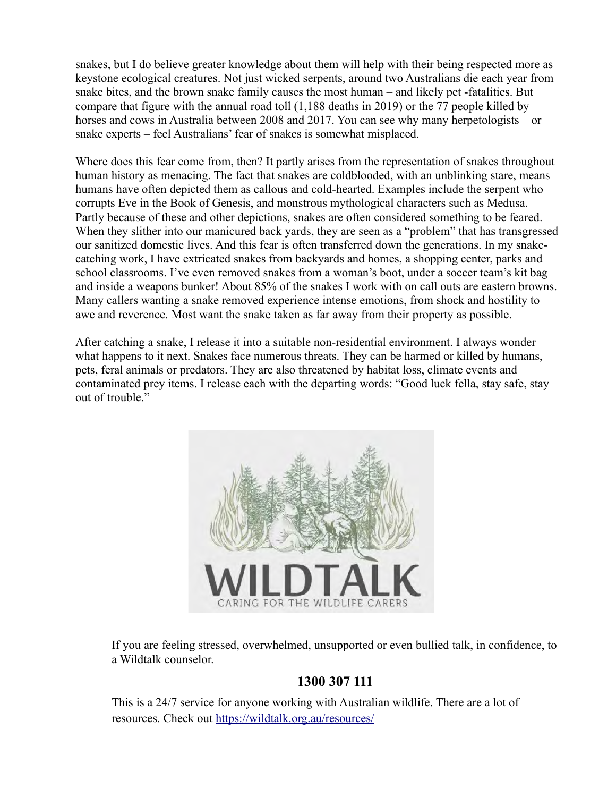snakes, but I do believe greater knowledge about them will help with their being respected more as keystone ecological creatures. Not just wicked serpents, around two Australians die each year from snake bites, and the brown snake family causes the most human – and likely pet -fatalities. But compare that figure with the annual road toll (1,188 deaths in 2019) or the 77 people killed by horses and cows in Australia between 2008 and 2017. You can see why many herpetologists – or snake experts – feel Australians' fear of snakes is somewhat misplaced.

Where does this fear come from, then? It partly arises from the representation of snakes throughout human history as menacing. The fact that snakes are coldblooded, with an unblinking stare, means humans have often depicted them as callous and cold-hearted. Examples include the serpent who corrupts Eve in the Book of Genesis, and monstrous mythological characters such as Medusa. Partly because of these and other depictions, snakes are often considered something to be feared. When they slither into our manicured back yards, they are seen as a "problem" that has transgressed our sanitized domestic lives. And this fear is often transferred down the generations. In my snakecatching work, I have extricated snakes from backyards and homes, a shopping center, parks and school classrooms. I've even removed snakes from a woman's boot, under a soccer team's kit bag and inside a weapons bunker! About 85% of the snakes I work with on call outs are eastern browns. Many callers wanting a snake removed experience intense emotions, from shock and hostility to awe and reverence. Most want the snake taken as far away from their property as possible.

After catching a snake, I release it into a suitable non-residential environment. I always wonder what happens to it next. Snakes face numerous threats. They can be harmed or killed by humans, pets, feral animals or predators. They are also threatened by habitat loss, climate events and contaminated prey items. I release each with the departing words: "Good luck fella, stay safe, stay out of trouble."



If you are feeling stressed, overwhelmed, unsupported or even bullied talk, in confidence, to a Wildtalk counselor.

# **1300 307 111**

This is a 24/7 service for anyone working with Australian wildlife. There are a lot of resources. Check out <https://wildtalk.org.au/resources/>